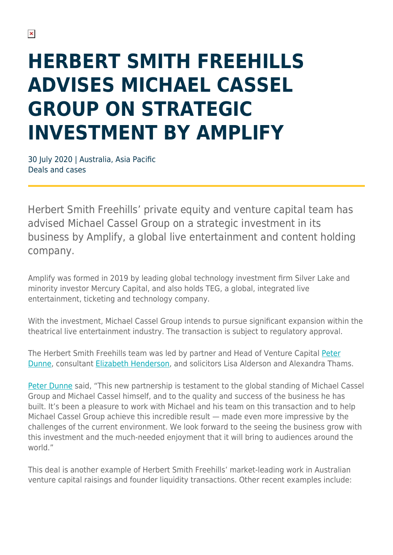## **HERBERT SMITH FREEHILLS ADVISES MICHAEL CASSEL GROUP ON STRATEGIC INVESTMENT BY AMPLIFY**

30 July 2020 | Australia, Asia Pacific Deals and cases

Herbert Smith Freehills' private equity and venture capital team has advised Michael Cassel Group on a strategic investment in its business by Amplify, a global live entertainment and content holding company.

Amplify was formed in 2019 by leading global technology investment firm Silver Lake and minority investor Mercury Capital, and also holds TEG, a global, integrated live entertainment, ticketing and technology company.

With the investment, Michael Cassel Group intends to pursue significant expansion within the theatrical live entertainment industry. The transaction is subject to regulatory approval.

The Herbert Smith Freehills team was led by partner and Head of Venture Capital [Peter](https://www.herbertsmithfreehills.com/our-people/peter-dunne) [Dunne](https://www.herbertsmithfreehills.com/our-people/peter-dunne), consultant [Elizabeth Henderson,](https://www.herbertsmithfreehills.com/our-people/elizabeth-henderson) and solicitors Lisa Alderson and Alexandra Thams.

[Peter Dunne](https://www.herbertsmithfreehills.com/our-people/peter-dunne) said, "This new partnership is testament to the global standing of Michael Cassel Group and Michael Cassel himself, and to the quality and success of the business he has built. It's been a pleasure to work with Michael and his team on this transaction and to help Michael Cassel Group achieve this incredible result — made even more impressive by the challenges of the current environment. We look forward to the seeing the business grow with this investment and the much-needed enjoyment that it will bring to audiences around the world."

This deal is another example of Herbert Smith Freehills' market-leading work in Australian venture capital raisings and founder liquidity transactions. Other recent examples include: